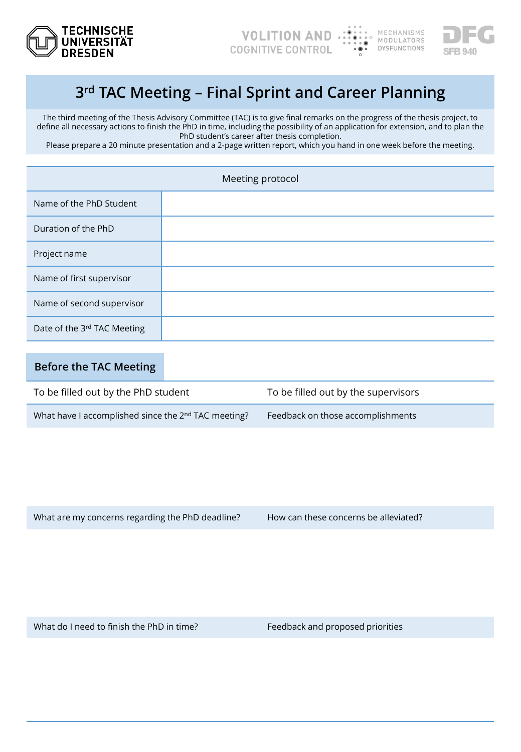



## **3rd TAC Meeting – Final Sprint and Career Planning**

The third meeting of the Thesis Advisory Committee (TAC) is to give final remarks on the progress of the thesis project, to define all necessary actions to finish the PhD in time, including the possibility of an application for extension, and to plan the PhD student's career after thesis completion.

Please prepare a 20 minute presentation and a 2-page written report, which you hand in one week before the meeting.

| Meeting protocol            |  |  |
|-----------------------------|--|--|
| Name of the PhD Student     |  |  |
| Duration of the PhD         |  |  |
| Project name                |  |  |
| Name of first supervisor    |  |  |
| Name of second supervisor   |  |  |
| Date of the 3rd TAC Meeting |  |  |

## **Before the TAC Meeting**

| To be filled out by the PhD student                             | To be filled out by the supervisors |  |  |
|-----------------------------------------------------------------|-------------------------------------|--|--|
| What have I accomplished since the 2 <sup>nd</sup> TAC meeting? | Feedback on those accomplishments   |  |  |

What are my concerns regarding the PhD deadline? How can these concerns be alleviated?

What do I need to finish the PhD in time? Feedback and proposed priorities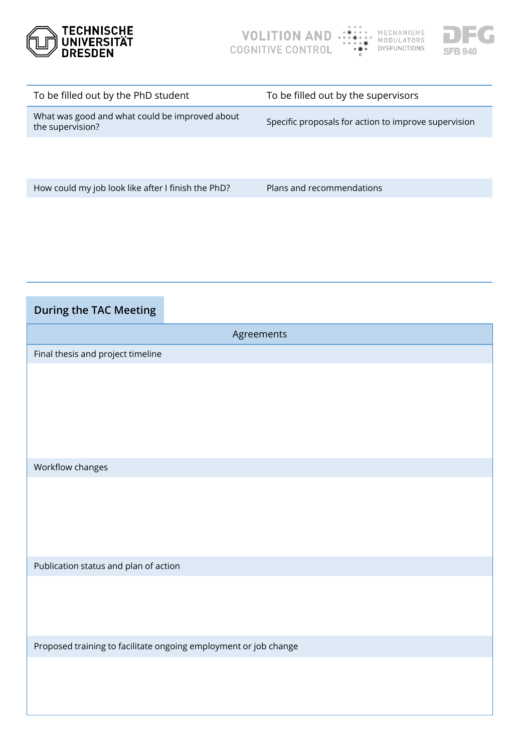



| To be filled out by the PhD student                                | To be filled out by the supervisors                  |  |  |  |
|--------------------------------------------------------------------|------------------------------------------------------|--|--|--|
| What was good and what could be improved about<br>the supervision? | Specific proposals for action to improve supervision |  |  |  |
|                                                                    |                                                      |  |  |  |

How could my job look like after I finish the PhD? Plans and recommendations